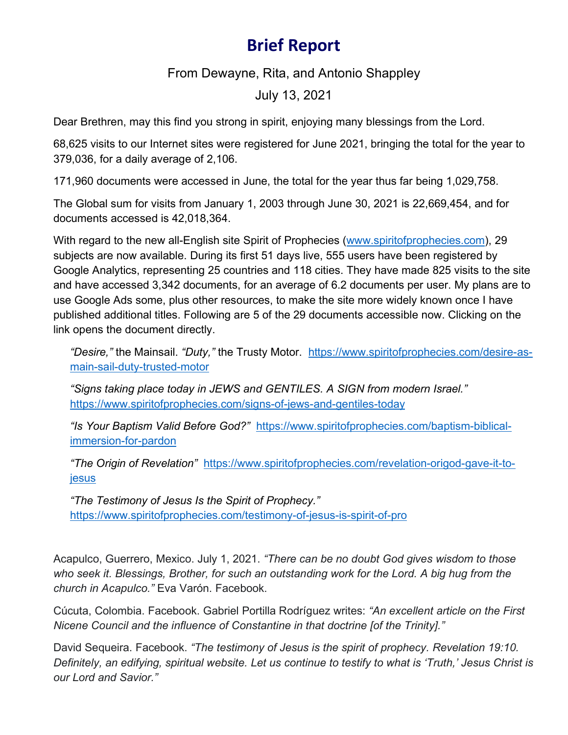## **Brief Report**

From Dewayne, Rita, and Antonio Shappley

July 13, 2021

Dear Brethren, may this find you strong in spirit, enjoying many blessings from the Lord.

68,625 visits to our Internet sites were registered for June 2021, bringing the total for the year to 379,036, for a daily average of 2,106.

171,960 documents were accessed in June, the total for the year thus far being 1,029,758.

The Global sum for visits from January 1, 2003 through June 30, 2021 is 22,669,454, and for documents accessed is 42,018,364.

With regard to the new all-English site Spirit of Prophecies [\(www.spiritofprophecies.com\)](http://www.spiritofprophecies.com/), 29 subjects are now available. During its first 51 days live, 555 users have been registered by Google Analytics, representing 25 countries and 118 cities. They have made 825 visits to the site and have accessed 3,342 documents, for an average of 6.2 documents per user. My plans are to use Google Ads some, plus other resources, to make the site more widely known once I have published additional titles. Following are 5 of the 29 documents accessible now. Clicking on the link opens the document directly.

*"Desire,"* the Mainsail. *"Duty,"* the Trusty Motor. [https://www.spiritofprophecies.com/desire-as](https://www.spiritofprophecies.com/desire-as-main-sail-duty-trusted-motor)[main-sail-duty-trusted-motor](https://www.spiritofprophecies.com/desire-as-main-sail-duty-trusted-motor)

*"Signs taking place today in JEWS and GENTILES. A SIGN from modern Israel."* <https://www.spiritofprophecies.com/signs-of-jews-and-gentiles-today>

*"Is Your Baptism Valid Before God?"* [https://www.spiritofprophecies.com/baptism-biblical](https://www.spiritofprophecies.com/baptism-biblical-immersion-for-pardon)[immersion-for-pardon](https://www.spiritofprophecies.com/baptism-biblical-immersion-for-pardon)

*"The Origin of Revelation"* [https://www.spiritofprophecies.com/revelation-origod-gave-it-to](https://www.spiritofprophecies.com/revelation-origod-gave-it-to-jesus)[jesus](https://www.spiritofprophecies.com/revelation-origod-gave-it-to-jesus)

*"The Testimony of Jesus Is the Spirit of Prophecy."* <https://www.spiritofprophecies.com/testimony-of-jesus-is-spirit-of-pro>

Acapulco, Guerrero, Mexico. July 1, 2021. *"There can be no doubt God gives wisdom to those who seek it. Blessings, Brother, for such an outstanding work for the Lord. A big hug from the church in Acapulco."* Eva Varón. Facebook.

Cúcuta, Colombia. Facebook. Gabriel Portilla Rodríguez writes: *"An excellent article on the First Nicene Council and the influence of Constantine in that doctrine [of the Trinity]."*

David Sequeira. Facebook. *"The testimony of Jesus is the spirit of prophecy. Revelation 19:10. Definitely, an edifying, spiritual website. Let us continue to testify to what is 'Truth,' Jesus Christ is our Lord and Savior."*